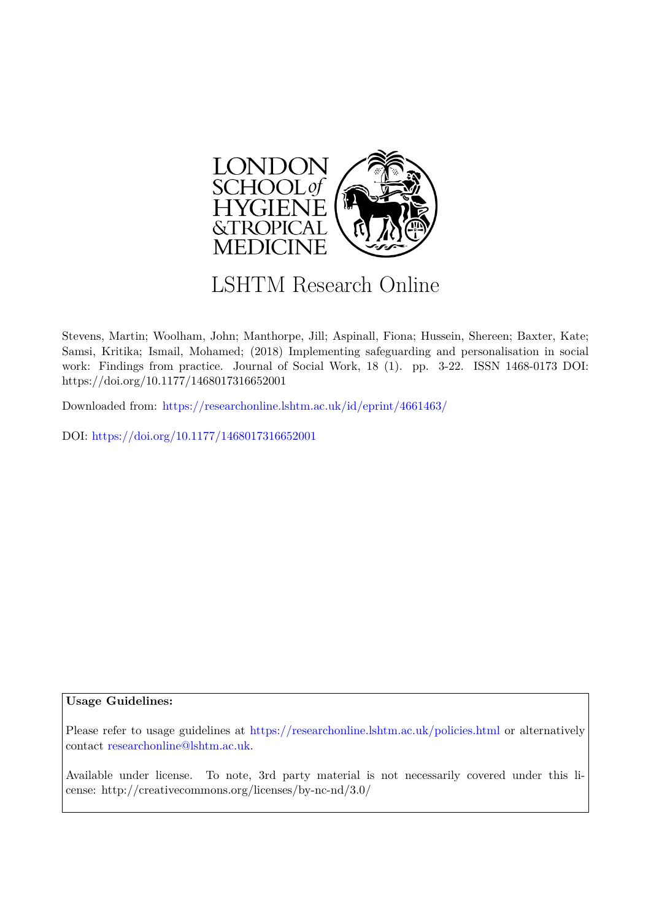

# LSHTM Research Online

Stevens, Martin; Woolham, John; Manthorpe, Jill; Aspinall, Fiona; Hussein, Shereen; Baxter, Kate; Samsi, Kritika; Ismail, Mohamed; (2018) Implementing safeguarding and personalisation in social work: Findings from practice. Journal of Social Work, 18 (1). pp. 3-22. ISSN 1468-0173 DOI: https://doi.org/10.1177/1468017316652001

Downloaded from: <https://researchonline.lshtm.ac.uk/id/eprint/4661463/>

DOI: https://doi.org/10.1177/1468017316652001

#### **Usage Guidelines:**

Please refer to usage guidelines at <https://researchonline.lshtm.ac.uk/policies.html> or alternatively contact [researchonline@lshtm.ac.uk.](mailto:researchonline@lshtm.ac.uk)

Available under license. To note, 3rd party material is not necessarily covered under this license: http://creativecommons.org/licenses/by-nc-nd/3.0/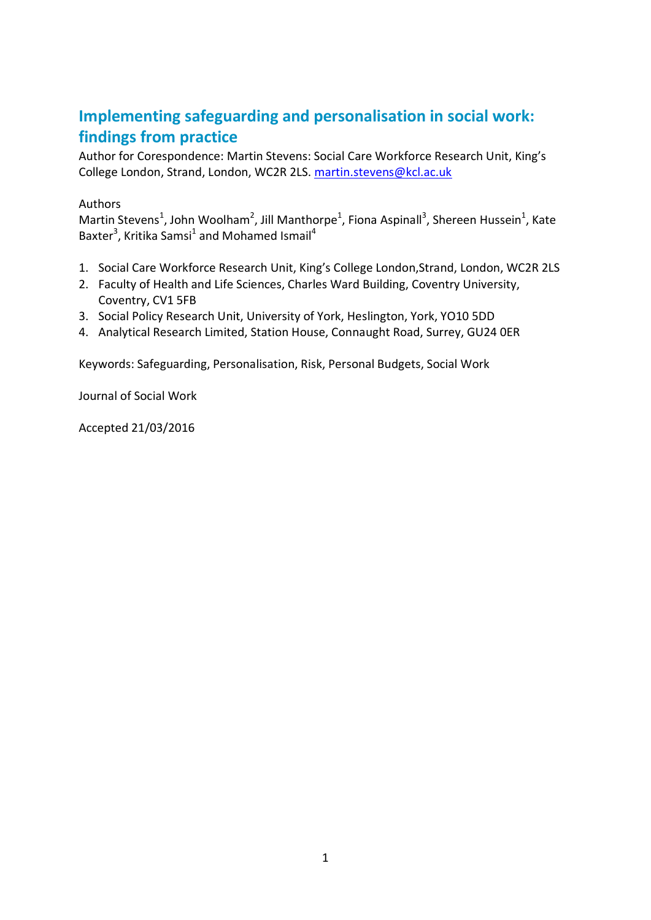# **Implementing safeguarding and personalisation in social work: findings from practice**

Author for Corespondence: Martin Stevens: Social Care Workforce Research Unit, King's College London, Strand, London, WC2R 2LS. [martin.stevens@kcl.ac.uk](mailto:martin.stevens@kcl.ac.uk)

## Authors

Martin Stevens<sup>1</sup>, John Woolham<sup>2</sup>, Jill Manthorpe<sup>1</sup>, Fiona Aspinall<sup>3</sup>, Shereen Hussein<sup>1</sup>, Kate Baxter<sup>3</sup>, Kritika Samsi<sup>1</sup> and Mohamed Ismail<sup>4</sup>

- 1. Social Care Workforce Research Unit, King's College London,Strand, London, WC2R 2LS
- 2. Faculty of Health and Life Sciences, Charles Ward Building, Coventry University, Coventry, CV1 5FB
- 3. Social Policy Research Unit, University of York, Heslington, York, YO10 5DD
- 4. Analytical Research Limited, Station House, Connaught Road, Surrey, GU24 0ER

Keywords: Safeguarding, Personalisation, Risk, Personal Budgets, Social Work

Journal of Social Work

Accepted 21/03/2016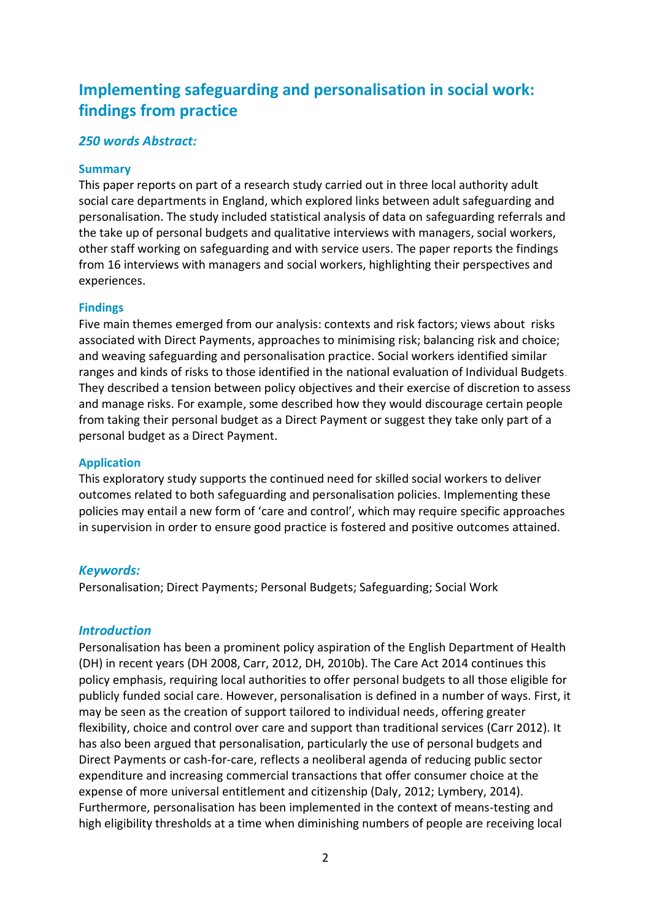# **Implementing safeguarding and personalisation in social work: findings from practice**

# *250 words Abstract:*

#### **Summary**

This paper reports on part of a research study carried out in three local authority adult social care departments in England, which explored links between adult safeguarding and personalisation. The study included statistical analysis of data on safeguarding referrals and the take up of personal budgets and qualitative interviews with managers, social workers, other staff working on safeguarding and with service users. The paper reports the findings from 16 interviews with managers and social workers, highlighting their perspectives and experiences.

### **Findings**

Five main themes emerged from our analysis: contexts and risk factors; views about risks associated with Direct Payments, approaches to minimising risk; balancing risk and choice; and weaving safeguarding and personalisation practice. Social workers identified similar ranges and kinds of risks to those identified in the national evaluation of Individual Budgets. They described a tension between policy objectives and their exercise of discretion to assess and manage risks. For example, some described how they would discourage certain people from taking their personal budget as a Direct Payment or suggest they take only part of a personal budget as a Direct Payment.

#### **Application**

This exploratory study supports the continued need for skilled social workers to deliver outcomes related to both safeguarding and personalisation policies. Implementing these policies may entail a new form of 'care and control', which may require specific approaches in supervision in order to ensure good practice is fostered and positive outcomes attained.

# *Keywords:*

Personalisation; Direct Payments; Personal Budgets; Safeguarding; Social Work

# *Introduction*

Personalisation has been a prominent policy aspiration of the English Department of Health (DH) in recent years (DH 2008, Carr, 2012, DH, 2010b). The Care Act 2014 continues this policy emphasis, requiring local authorities to offer personal budgets to all those eligible for publicly funded social care. However, personalisation is defined in a number of ways. First, it may be seen as the creation of support tailored to individual needs, offering greater flexibility, choice and control over care and support than traditional services (Carr 2012). It has also been argued that personalisation, particularly the use of personal budgets and Direct Payments or cash-for-care, reflects a neoliberal agenda of reducing public sector expenditure and increasing commercial transactions that offer consumer choice at the expense of more universal entitlement and citizenship (Daly, 2012; Lymbery, 2014). Furthermore, personalisation has been implemented in the context of means-testing and high eligibility thresholds at a time when diminishing numbers of people are receiving local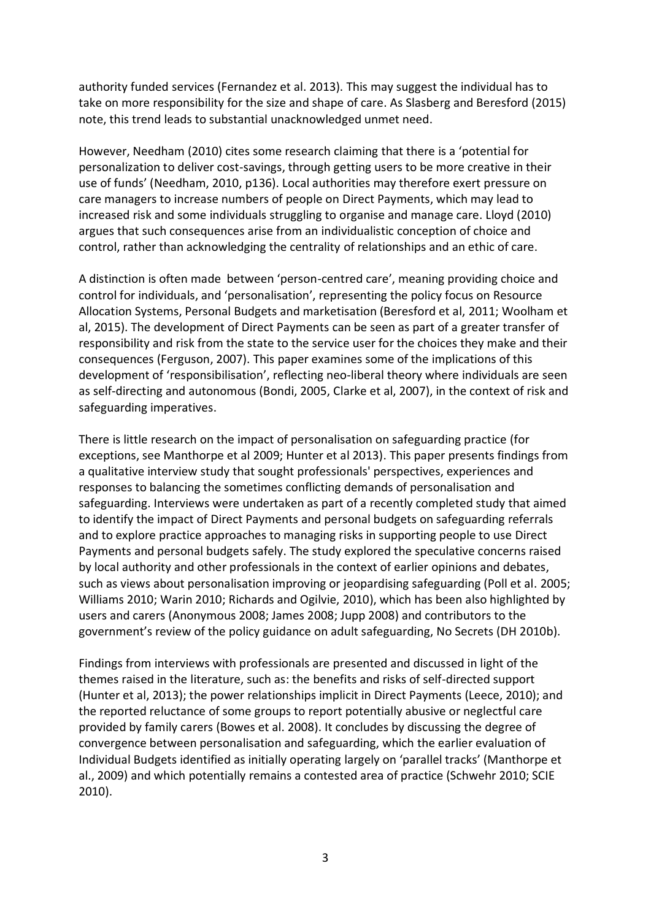authority funded services (Fernandez et al. 2013). This may suggest the individual has to take on more responsibility for the size and shape of care. As Slasberg and Beresford (2015) note, this trend leads to substantial unacknowledged unmet need.

However, Needham (2010) cites some research claiming that there is a 'potential for personalization to deliver cost-savings, through getting users to be more creative in their use of funds' (Needham, 2010, p136). Local authorities may therefore exert pressure on care managers to increase numbers of people on Direct Payments, which may lead to increased risk and some individuals struggling to organise and manage care. Lloyd (2010) argues that such consequences arise from an individualistic conception of choice and control, rather than acknowledging the centrality of relationships and an ethic of care.

A distinction is often made between 'person-centred care', meaning providing choice and control for individuals, and 'personalisation', representing the policy focus on Resource Allocation Systems, Personal Budgets and marketisation (Beresford et al, 2011; Woolham et al, 2015). The development of Direct Payments can be seen as part of a greater transfer of responsibility and risk from the state to the service user for the choices they make and their consequences (Ferguson, 2007). This paper examines some of the implications of this development of 'responsibilisation', reflecting neo-liberal theory where individuals are seen as self-directing and autonomous (Bondi, 2005, Clarke et al, 2007), in the context of risk and safeguarding imperatives.

There is little research on the impact of personalisation on safeguarding practice (for exceptions, see Manthorpe et al 2009; Hunter et al 2013). This paper presents findings from a qualitative interview study that sought professionals' perspectives, experiences and responses to balancing the sometimes conflicting demands of personalisation and safeguarding. Interviews were undertaken as part of a recently completed study that aimed to identify the impact of Direct Payments and personal budgets on safeguarding referrals and to explore practice approaches to managing risks in supporting people to use Direct Payments and personal budgets safely. The study explored the speculative concerns raised by local authority and other professionals in the context of earlier opinions and debates, such as views about personalisation improving or jeopardising safeguarding (Poll et al. 2005; Williams 2010; Warin 2010; Richards and Ogilvie, 2010), which has been also highlighted by users and carers (Anonymous 2008; James 2008; Jupp 2008) and contributors to the government's review of the policy guidance on adult safeguarding, No Secrets (DH 2010b).

Findings from interviews with professionals are presented and discussed in light of the themes raised in the literature, such as: the benefits and risks of self-directed support (Hunter et al, 2013); the power relationships implicit in Direct Payments (Leece, 2010); and the reported reluctance of some groups to report potentially abusive or neglectful care provided by family carers (Bowes et al. 2008). It concludes by discussing the degree of convergence between personalisation and safeguarding, which the earlier evaluation of Individual Budgets identified as initially operating largely on 'parallel tracks' (Manthorpe et al., 2009) and which potentially remains a contested area of practice (Schwehr 2010; SCIE 2010).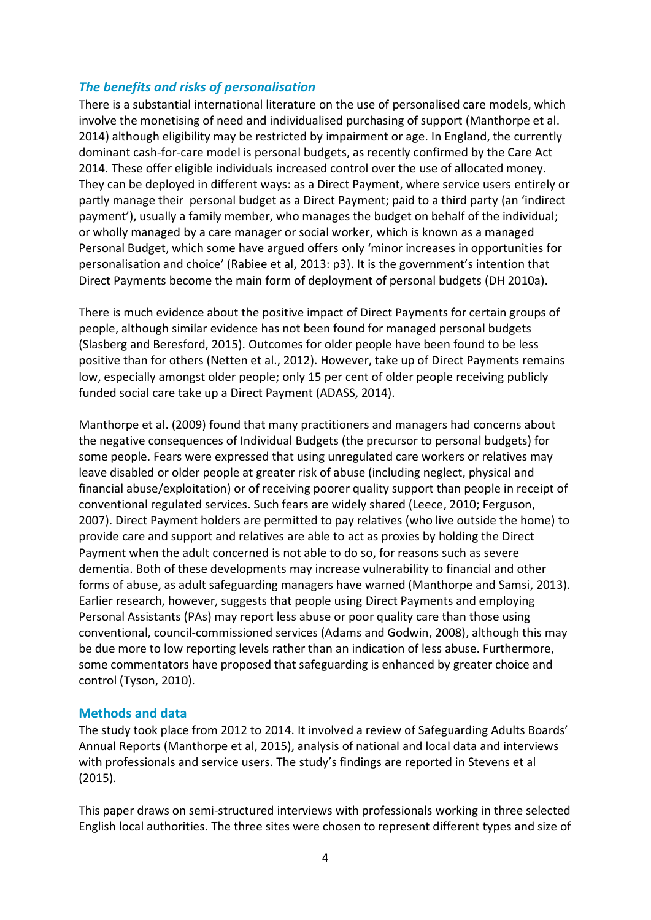# *The benefits and risks of personalisation*

There is a substantial international literature on the use of personalised care models, which involve the monetising of need and individualised purchasing of support (Manthorpe et al. 2014) although eligibility may be restricted by impairment or age. In England, the currently dominant cash-for-care model is personal budgets, as recently confirmed by the Care Act 2014. These offer eligible individuals increased control over the use of allocated money. They can be deployed in different ways: as a Direct Payment, where service users entirely or partly manage their personal budget as a Direct Payment; paid to a third party (an 'indirect payment'), usually a family member, who manages the budget on behalf of the individual; or wholly managed by a care manager or social worker, which is known as a managed Personal Budget, which some have argued offers only 'minor increases in opportunities for personalisation and choice' (Rabiee et al, 2013: p3). It is the government's intention that Direct Payments become the main form of deployment of personal budgets (DH 2010a).

There is much evidence about the positive impact of Direct Payments for certain groups of people, although similar evidence has not been found for managed personal budgets (Slasberg and Beresford, 2015). Outcomes for older people have been found to be less positive than for others (Netten et al., 2012). However, take up of Direct Payments remains low, especially amongst older people; only 15 per cent of older people receiving publicly funded social care take up a Direct Payment (ADASS, 2014).

Manthorpe et al. (2009) found that many practitioners and managers had concerns about the negative consequences of Individual Budgets (the precursor to personal budgets) for some people. Fears were expressed that using unregulated care workers or relatives may leave disabled or older people at greater risk of abuse (including neglect, physical and financial abuse/exploitation) or of receiving poorer quality support than people in receipt of conventional regulated services. Such fears are widely shared (Leece, 2010; Ferguson, 2007). Direct Payment holders are permitted to pay relatives (who live outside the home) to provide care and support and relatives are able to act as proxies by holding the Direct Payment when the adult concerned is not able to do so, for reasons such as severe dementia. Both of these developments may increase vulnerability to financial and other forms of abuse, as adult safeguarding managers have warned (Manthorpe and Samsi, 2013). Earlier research, however, suggests that people using Direct Payments and employing Personal Assistants (PAs) may report less abuse or poor quality care than those using conventional, council-commissioned services (Adams and Godwin, 2008), although this may be due more to low reporting levels rather than an indication of less abuse. Furthermore, some commentators have proposed that safeguarding is enhanced by greater choice and control (Tyson, 2010).

#### **Methods and data**

The study took place from 2012 to 2014. It involved a review of Safeguarding Adults Boards' Annual Reports (Manthorpe et al, 2015), analysis of national and local data and interviews with professionals and service users. The study's findings are reported in Stevens et al (2015).

This paper draws on semi-structured interviews with professionals working in three selected English local authorities. The three sites were chosen to represent different types and size of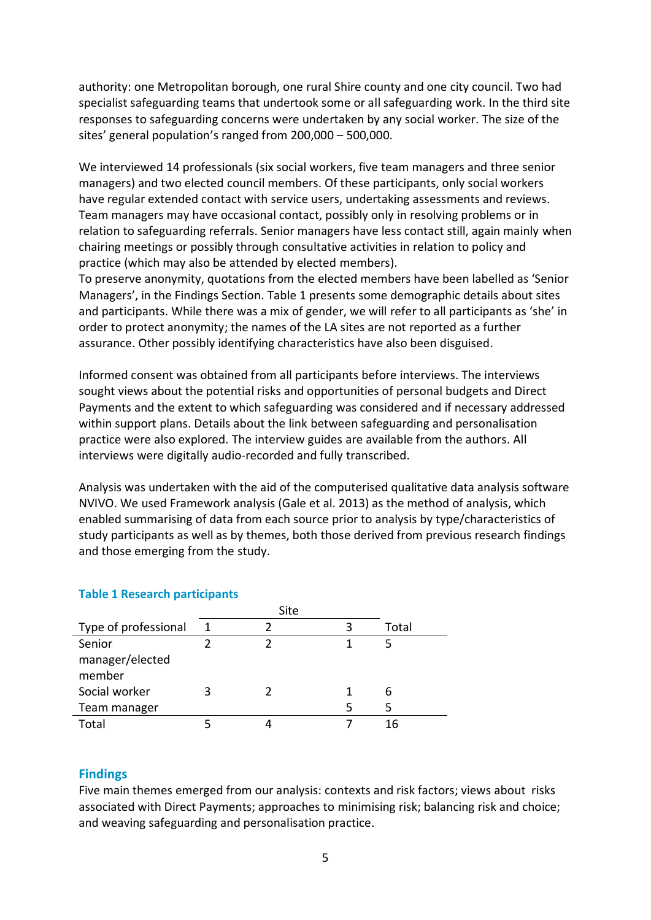authority: one Metropolitan borough, one rural Shire county and one city council. Two had specialist safeguarding teams that undertook some or all safeguarding work. In the third site responses to safeguarding concerns were undertaken by any social worker. The size of the sites' general population's ranged from 200,000 – 500,000.

We interviewed 14 professionals (six social workers, five team managers and three senior managers) and two elected council members. Of these participants, only social workers have regular extended contact with service users, undertaking assessments and reviews. Team managers may have occasional contact, possibly only in resolving problems or in relation to safeguarding referrals. Senior managers have less contact still, again mainly when chairing meetings or possibly through consultative activities in relation to policy and practice (which may also be attended by elected members).

To preserve anonymity, quotations from the elected members have been labelled as 'Senior Managers', in the Findings Section. Table 1 presents some demographic details about sites and participants. While there was a mix of gender, we will refer to all participants as 'she' in order to protect anonymity; the names of the LA sites are not reported as a further assurance. Other possibly identifying characteristics have also been disguised.

Informed consent was obtained from all participants before interviews. The interviews sought views about the potential risks and opportunities of personal budgets and Direct Payments and the extent to which safeguarding was considered and if necessary addressed within support plans. Details about the link between safeguarding and personalisation practice were also explored. The interview guides are available from the authors. All interviews were digitally audio-recorded and fully transcribed.

Analysis was undertaken with the aid of the computerised qualitative data analysis software NVIVO. We used Framework analysis (Gale et al. 2013) as the method of analysis, which enabled summarising of data from each source prior to analysis by type/characteristics of study participants as well as by themes, both those derived from previous research findings and those emerging from the study.

|                      | Site |  |  |       |
|----------------------|------|--|--|-------|
| Type of professional | 1    |  |  | Total |
| Senior               |      |  |  |       |
| manager/elected      |      |  |  |       |
| member               |      |  |  |       |
| Social worker        |      |  |  | h     |
| Team manager         |      |  |  | 5     |
| Total                |      |  |  | 16    |

#### **Table 1 Research participants**

#### **Findings**

Five main themes emerged from our analysis: contexts and risk factors; views about risks associated with Direct Payments; approaches to minimising risk; balancing risk and choice; and weaving safeguarding and personalisation practice.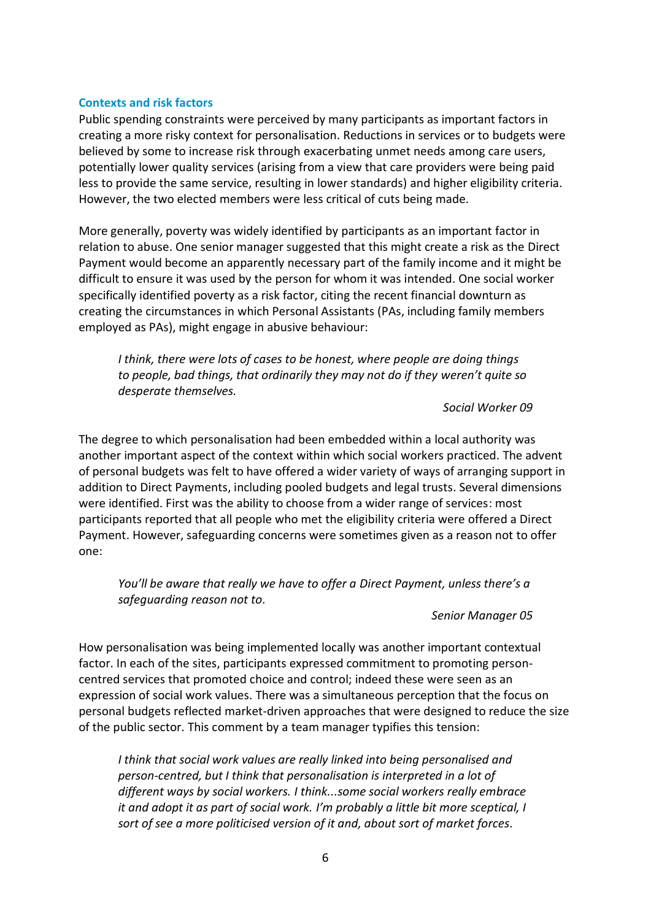#### **Contexts and risk factors**

Public spending constraints were perceived by many participants as important factors in creating a more risky context for personalisation. Reductions in services or to budgets were believed by some to increase risk through exacerbating unmet needs among care users, potentially lower quality services (arising from a view that care providers were being paid less to provide the same service, resulting in lower standards) and higher eligibility criteria. However, the two elected members were less critical of cuts being made.

More generally, poverty was widely identified by participants as an important factor in relation to abuse. One senior manager suggested that this might create a risk as the Direct Payment would become an apparently necessary part of the family income and it might be difficult to ensure it was used by the person for whom it was intended. One social worker specifically identified poverty as a risk factor, citing the recent financial downturn as creating the circumstances in which Personal Assistants (PAs, including family members employed as PAs), might engage in abusive behaviour:

*I think, there were lots of cases to be honest, where people are doing things to people, bad things, that ordinarily they may not do if they weren͛t quite so desperate themselves.*

#### *Social Worker 09*

The degree to which personalisation had been embedded within a local authority was another important aspect of the context within which social workers practiced. The advent of personal budgets was felt to have offered a wider variety of ways of arranging support in addition to Direct Payments, including pooled budgets and legal trusts. Several dimensions were identified. First was the ability to choose from a wider range of services: most participants reported that all people who met the eligibility criteria were offered a Direct Payment. However, safeguarding concerns were sometimes given as a reason not to offer one:

*You'll be aware that really we have to offer a Direct Payment, unless there's a safeguarding reason not to.*

#### *Senior Manager 05*

How personalisation was being implemented locally was another important contextual factor. In each of the sites, participants expressed commitment to promoting personcentred services that promoted choice and control; indeed these were seen as an expression of social work values. There was a simultaneous perception that the focus on personal budgets reflected market-driven approaches that were designed to reduce the size of the public sector. This comment by a team manager typifies this tension:

*I think that social work values are really linked into being personalised and person-centred, but I think that personalisation is interpreted in a lot of different ways by social workers. I think...some social workers really embrace it and adopt it as part of social work. I'm probably a little bit more sceptical, I sort of see a more politicised version of it and, about sort of market forces.*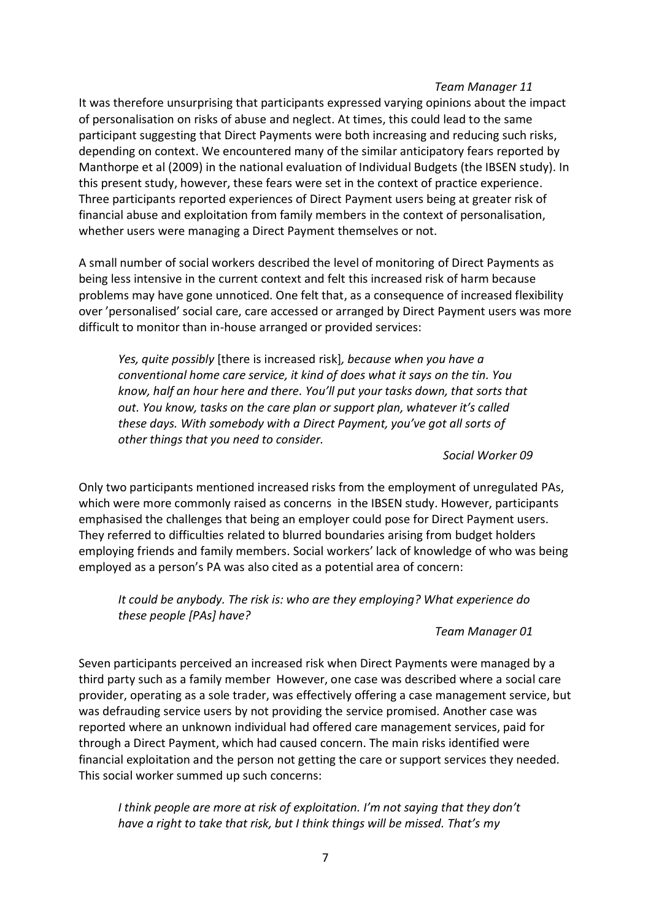#### *Team Manager 11*

It was therefore unsurprising that participants expressed varying opinions about the impact of personalisation on risks of abuse and neglect. At times, this could lead to the same participant suggesting that Direct Payments were both increasing and reducing such risks, depending on context. We encountered many of the similar anticipatory fears reported by Manthorpe et al (2009) in the national evaluation of Individual Budgets (the IBSEN study). In this present study, however, these fears were set in the context of practice experience. Three participants reported experiences of Direct Payment users being at greater risk of financial abuse and exploitation from family members in the context of personalisation, whether users were managing a Direct Payment themselves or not.

A small number of social workers described the level of monitoring of Direct Payments as being less intensive in the current context and felt this increased risk of harm because problems may have gone unnoticed. One felt that, as a consequence of increased flexibility over 'personalised' social care, care accessed or arranged by Direct Payment users was more difficult to monitor than in-house arranged or provided services:

*Yes, quite possibly* [there is increased risk]*, because when you have a conventional home care service, it kind of does what it says on the tin. You know, half an hour here and there. You͛ll put LJour tasks down͕ that sorts that out. You know͕ tasks on the care plan or support plan͕ whatever it͛s called these days. With somebody with a Direct Payment, you've got all sorts of other things that you need to consider.*

#### *Social Worker 09*

Only two participants mentioned increased risks from the employment of unregulated PAs, which were more commonly raised as concerns in the IBSEN study. However, participants emphasised the challenges that being an employer could pose for Direct Payment users. They referred to difficulties related to blurred boundaries arising from budget holders employing friends and family members. Social workers' lack of knowledge of who was being employed as a person's PA was also cited as a potential area of concern:

*It could be anybody. The risk is: who are they employing? What experience do these people [PAs] have?*

#### *Team Manager 01*

Seven participants perceived an increased risk when Direct Payments were managed by a third party such as a family member However, one case was described where a social care provider, operating as a sole trader, was effectively offering a case management service, but was defrauding service users by not providing the service promised. Another case was reported where an unknown individual had offered care management services, paid for through a Direct Payment, which had caused concern. The main risks identified were financial exploitation and the person not getting the care or support services they needed. This social worker summed up such concerns:

*I think people are more at risk of exploitation. I'm not saying that they don't have a right to take that risk, but I think things will be missed. That's my*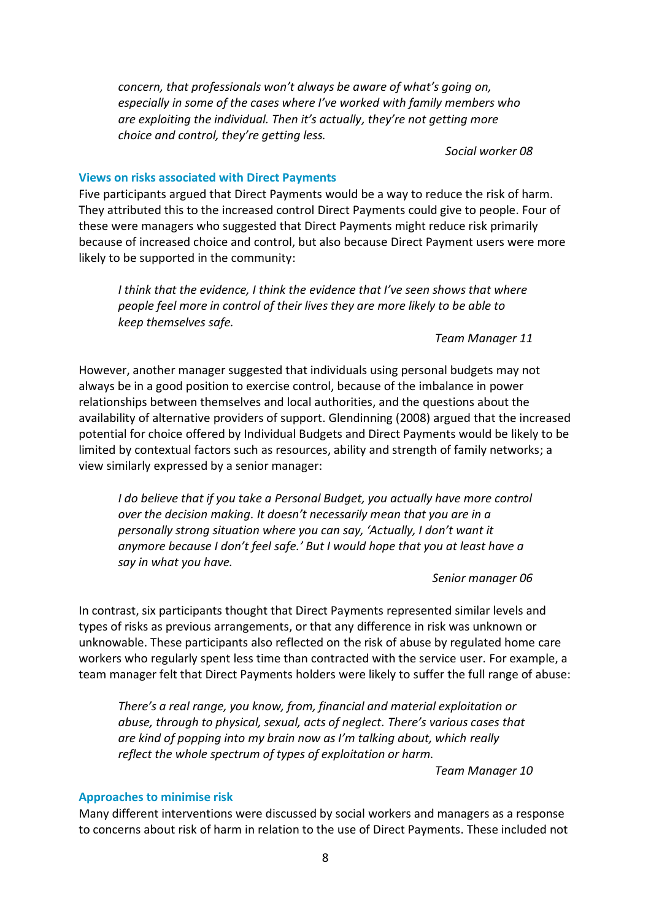*concern, that professionals won't always be aware of what's going on, especially in some of the cases where I've worked with family members who are exploiting the individual. Then it's actually, they're not getting more choice and control, they're getting less.* 

*Social worker 08*

#### **Views on risks associated with Direct Payments**

Five participants argued that Direct Payments would be a way to reduce the risk of harm. They attributed this to the increased control Direct Payments could give to people. Four of these were managers who suggested that Direct Payments might reduce risk primarily because of increased choice and control, but also because Direct Payment users were more likely to be supported in the community:

*I think that the evidence, I think the evidence that I͛ve seen shows that where people feel more in control of their lives they are more likely to be able to keep themselves safe.*

*Team Manager 11*

However, another manager suggested that individuals using personal budgets may not always be in a good position to exercise control, because of the imbalance in power relationships between themselves and local authorities, and the questions about the availability of alternative providers of support. Glendinning (2008) argued that the increased potential for choice offered by Individual Budgets and Direct Payments would be likely to be limited by contextual factors such as resources, ability and strength of family networks; a view similarly expressed by a senior manager:

*I do believe that if you take a Personal Budget, you actually have more control over the decision making. It doesn't necessarily mean that you are in a* personally strong situation where you can say, 'Actually, I don't want it *anymore because I don't feel safe.' But I would hope that you at least have a say in what you have.*

*Senior manager 06*

In contrast, six participants thought that Direct Payments represented similar levels and types of risks as previous arrangements, or that any difference in risk was unknown or unknowable. These participants also reflected on the risk of abuse by regulated home care workers who regularly spent less time than contracted with the service user. For example, a team manager felt that Direct Payments holders were likely to suffer the full range of abuse:

*There's a real range, you know, from, financial and material exploitation or abuse, through to physical, sexual, acts of neglect. There͛s various cases that are kind of popping into my brain now as I'm talking about, which really reflect the whole spectrum of types of exploitation or harm.*

*Team Manager 10*

#### **Approaches to minimise risk**

Many different interventions were discussed by social workers and managers as a response to concerns about risk of harm in relation to the use of Direct Payments. These included not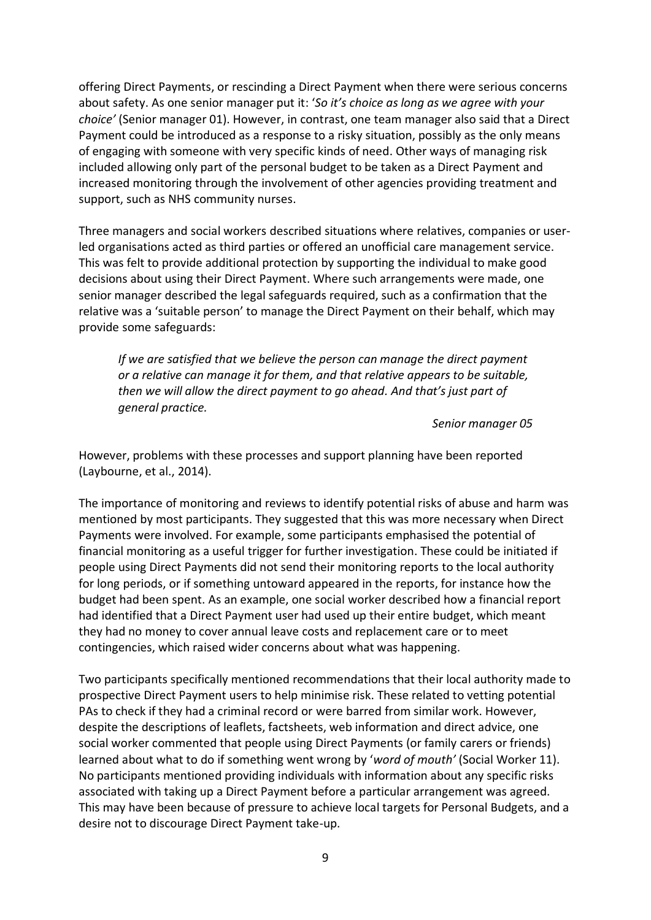offering Direct Payments, or rescinding a Direct Payment when there were serious concerns about safety. As one senior manager put it: 'So it's choice as long as we agree with your *choice͛* (Senior manager 01). However, in contrast, one team manager also said that a Direct Payment could be introduced as a response to a risky situation, possibly as the only means of engaging with someone with very specific kinds of need. Other ways of managing risk included allowing only part of the personal budget to be taken as a Direct Payment and increased monitoring through the involvement of other agencies providing treatment and support, such as NHS community nurses.

Three managers and social workers described situations where relatives, companies or userled organisations acted as third parties or offered an unofficial care management service. This was felt to provide additional protection by supporting the individual to make good decisions about using their Direct Payment. Where such arrangements were made, one senior manager described the legal safeguards required, such as a confirmation that the relative was a 'suitable person' to manage the Direct Payment on their behalf, which may provide some safeguards:

*If we are satisfied that we believe the person can manage the direct payment or a relative can manage it for them, and that relative appears to be suitable, then we will allow the direct payment to go ahead. And that͛s just part of general practice.* 

*Senior manager 05*

However, problems with these processes and support planning have been reported (Laybourne, et al., 2014).

The importance of monitoring and reviews to identify potential risks of abuse and harm was mentioned by most participants. They suggested that this was more necessary when Direct Payments were involved. For example, some participants emphasised the potential of financial monitoring as a useful trigger for further investigation. These could be initiated if people using Direct Payments did not send their monitoring reports to the local authority for long periods, or if something untoward appeared in the reports, for instance how the budget had been spent. As an example, one social worker described how a financial report had identified that a Direct Payment user had used up their entire budget, which meant they had no money to cover annual leave costs and replacement care or to meet contingencies, which raised wider concerns about what was happening.

Two participants specifically mentioned recommendations that their local authority made to prospective Direct Payment users to help minimise risk. These related to vetting potential PAs to check if they had a criminal record or were barred from similar work. However, despite the descriptions of leaflets, factsheets, web information and direct advice, one social worker commented that people using Direct Payments (or family carers or friends) learned about what to do if something went wrong by 'word of mouth' (Social Worker 11). No participants mentioned providing individuals with information about any specific risks associated with taking up a Direct Payment before a particular arrangement was agreed. This may have been because of pressure to achieve local targets for Personal Budgets, and a desire not to discourage Direct Payment take-up.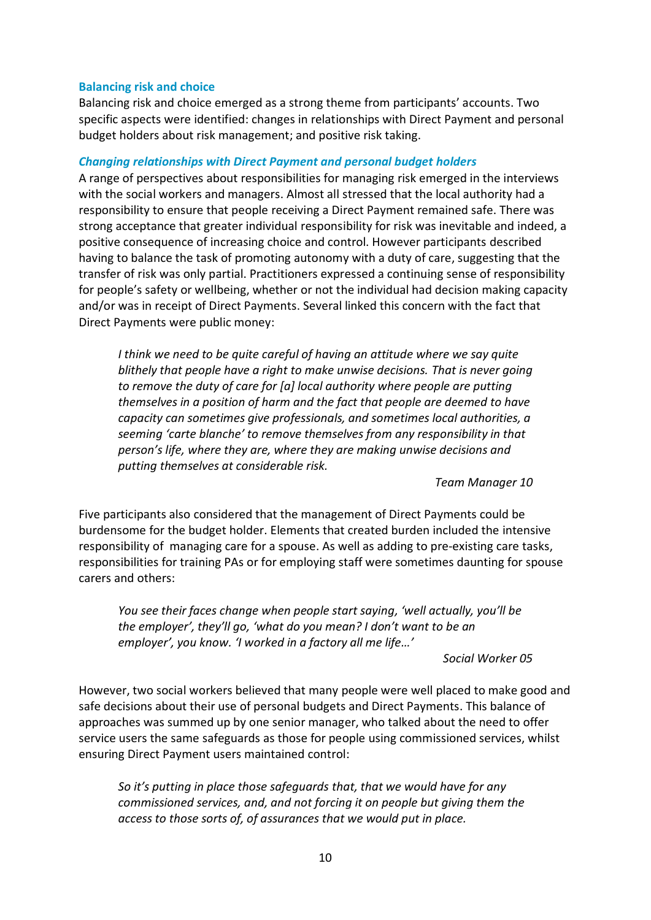#### **Balancing risk and choice**

Balancing risk and choice emerged as a strong theme from participants' accounts. Two specific aspects were identified: changes in relationships with Direct Payment and personal budget holders about risk management; and positive risk taking.

## *Changing relationships with Direct Payment and personal budget holders*

A range of perspectives about responsibilities for managing risk emerged in the interviews with the social workers and managers. Almost all stressed that the local authority had a responsibility to ensure that people receiving a Direct Payment remained safe. There was strong acceptance that greater individual responsibility for risk was inevitable and indeed, a positive consequence of increasing choice and control. However participants described having to balance the task of promoting autonomy with a duty of care, suggesting that the transfer of risk was only partial. Practitioners expressed a continuing sense of responsibility for people's safety or wellbeing, whether or not the individual had decision making capacity and/or was in receipt of Direct Payments. Several linked this concern with the fact that Direct Payments were public money:

*I think we need to be quite careful of having an attitude where we say quite blithely that people have a right to make unwise decisions. That is never going to remove the duty of care for [a] local authority where people are putting themselves in a position of harm and the fact that people are deemed to have capacity can sometimes give professionals, and sometimes local authorities, a seeming ͚carte blanche͛ to remove themselves from any responsibility in that person's life, where they are, where they are making unwise decisions and putting themselves at considerable risk.*

*Team Manager 10*

Five participants also considered that the management of Direct Payments could be burdensome for the budget holder. Elements that created burden included the intensive responsibility of managing care for a spouse. As well as adding to pre-existing care tasks, responsibilities for training PAs or for employing staff were sometimes daunting for spouse carers and others:

*You see their faces change when people start saying, 'well actually, you'll be the employer'*, *they'll go*, 'what do you mean? I don't want to be an *employer*<sup> $\prime$ </sup>, you know. *'l* worked in a factory all me life...'

#### *Social Worker 05*

However, two social workers believed that many people were well placed to make good and safe decisions about their use of personal budgets and Direct Payments. This balance of approaches was summed up by one senior manager, who talked about the need to offer service users the same safeguards as those for people using commissioned services, whilst ensuring Direct Payment users maintained control:

*So it͛s putting in place those safeguards that, that we would have for any commissioned services, and, and not forcing it on people but giving them the access to those sorts of, of assurances that we would put in place.*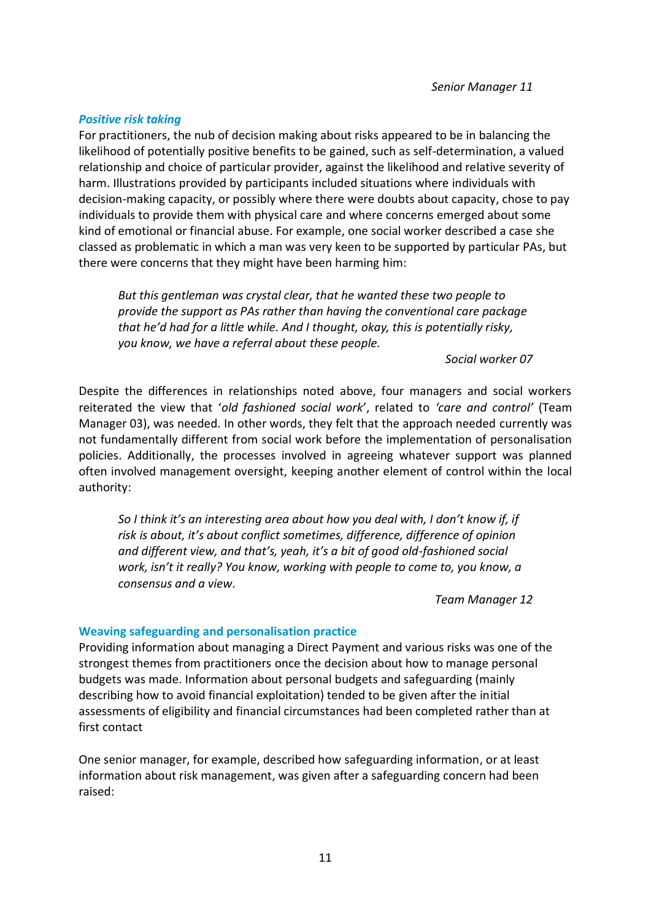*Senior Manager 11*

#### *Positive risk taking*

For practitioners, the nub of decision making about risks appeared to be in balancing the likelihood of potentially positive benefits to be gained, such as self-determination, a valued relationship and choice of particular provider, against the likelihood and relative severity of harm. Illustrations provided by participants included situations where individuals with decision-making capacity, or possibly where there were doubts about capacity, chose to pay individuals to provide them with physical care and where concerns emerged about some kind of emotional or financial abuse. For example, one social worker described a case she classed as problematic in which a man was very keen to be supported by particular PAs, but there were concerns that they might have been harming him:

*But this gentleman was crystal clear, that he wanted these two people to provide the support as PAs rather than having the conventional care package that he͛d had for a little while. And I thought, okay, this is potentially risky, you know, we have a referral about these people.*

*Social worker 07*

Despite the differences in relationships noted above, four managers and social workers reiterated the view that 'old fashioned social work', related to 'care and control' (Team Manager 03), was needed. In other words, they felt that the approach needed currently was not fundamentally different from social work before the implementation of personalisation policies. Additionally, the processes involved in agreeing whatever support was planned often involved management oversight, keeping another element of control within the local authority:

So I think it's an interesting area about how you deal with, I don't know if, if *risk is about͕ it͛s about conflict sometimes͕ difference͕ difference of opinion and different view, and that's, yeah, it's a bit of good old-fashioned social work, isn͛t it really? You know, working with people to come to, you know, a consensus and a view.*

*Team Manager 12*

#### **Weaving safeguarding and personalisation practice**

Providing information about managing a Direct Payment and various risks was one of the strongest themes from practitioners once the decision about how to manage personal budgets was made. Information about personal budgets and safeguarding (mainly describing how to avoid financial exploitation) tended to be given after the initial assessments of eligibility and financial circumstances had been completed rather than at first contact

One senior manager, for example, described how safeguarding information, or at least information about risk management, was given after a safeguarding concern had been raised: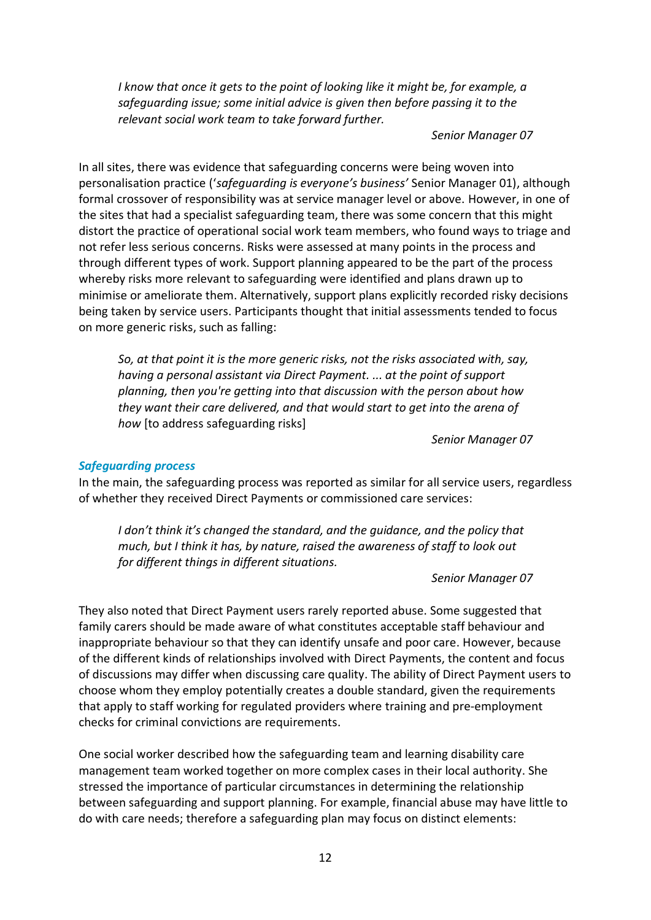*I know that once it gets to the point of looking like it might be, for example, a safeguarding issue; some initial advice is given then before passing it to the relevant social work team to take forward further.* 

#### *Senior Manager 07*

In all sites, there was evidence that safeguarding concerns were being woven into personalisation practice ('safeguarding is everyone's business' Senior Manager 01), although formal crossover of responsibility was at service manager level or above. However, in one of the sites that had a specialist safeguarding team, there was some concern that this might distort the practice of operational social work team members, who found ways to triage and not refer less serious concerns. Risks were assessed at many points in the process and through different types of work. Support planning appeared to be the part of the process whereby risks more relevant to safeguarding were identified and plans drawn up to minimise or ameliorate them. Alternatively, support plans explicitly recorded risky decisions being taken by service users. Participants thought that initial assessments tended to focus on more generic risks, such as falling:

*So, at that point it is the more generic risks, not the risks associated with, say, having a personal assistant via Direct Payment. ... at the point of support planning, then you're getting into that discussion with the person about how they want their care delivered, and that would start to get into the arena of how* [to address safeguarding risks]

*Senior Manager 07*

#### *Safeguarding process*

In the main, the safeguarding process was reported as similar for all service users, regardless of whether they received Direct Payments or commissioned care services:

*I don't think it's changed the standard, and the guidance, and the policy that much, but I think it has, by nature, raised the awareness of staff to look out for different things in different situations.*

*Senior Manager 07*

They also noted that Direct Payment users rarely reported abuse. Some suggested that family carers should be made aware of what constitutes acceptable staff behaviour and inappropriate behaviour so that they can identify unsafe and poor care. However, because of the different kinds of relationships involved with Direct Payments, the content and focus of discussions may differ when discussing care quality. The ability of Direct Payment users to choose whom they employ potentially creates a double standard, given the requirements that apply to staff working for regulated providers where training and pre-employment checks for criminal convictions are requirements.

One social worker described how the safeguarding team and learning disability care management team worked together on more complex cases in their local authority. She stressed the importance of particular circumstances in determining the relationship between safeguarding and support planning. For example, financial abuse may have little to do with care needs; therefore a safeguarding plan may focus on distinct elements: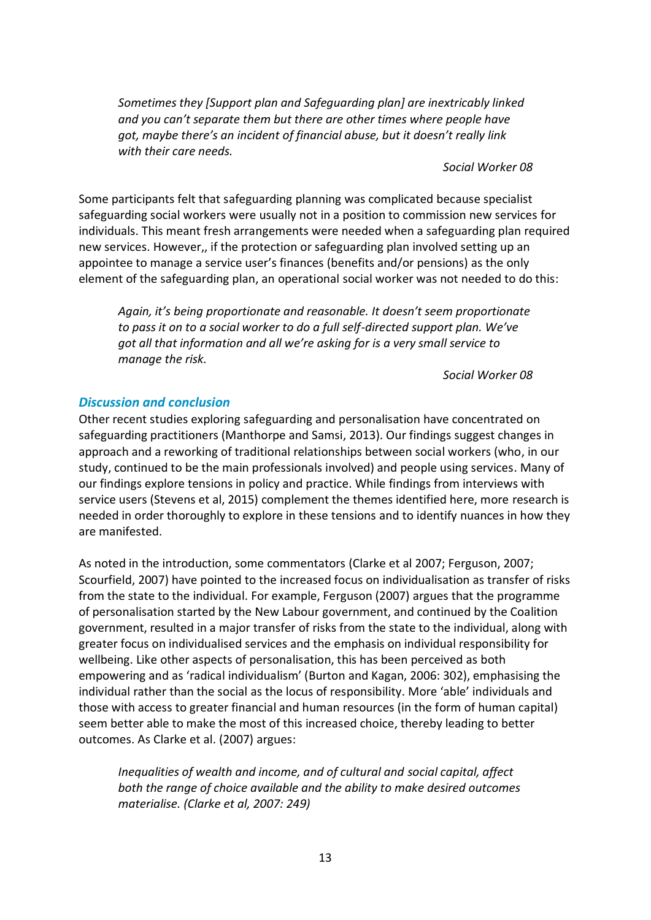*Sometimes they [Support plan and Safeguarding plan] are inextricably linked and you can͛t separate them but there are other times where people have got, maybe there's an incident of financial abuse, but it doesn't really link with their care needs.* 

*Social Worker 08*

Some participants felt that safeguarding planning was complicated because specialist safeguarding social workers were usually not in a position to commission new services for individuals. This meant fresh arrangements were needed when a safeguarding plan required new services. However,, if the protection or safeguarding plan involved setting up an appointee to manage a service user's finances (benefits and/or pensions) as the only element of the safeguarding plan, an operational social worker was not needed to do this:

*Again͕ it͛s being proportionate and reasonable͘ It doesn͛t seem proportionate to pass it on to a social worker to do a full self-directed support plan͘ We͛ve got all that information and all we're asking for is a very small service to manage the risk.*

*Social Worker 08*

### *Discussion and conclusion*

Other recent studies exploring safeguarding and personalisation have concentrated on safeguarding practitioners (Manthorpe and Samsi, 2013). Our findings suggest changes in approach and a reworking of traditional relationships between social workers (who, in our study, continued to be the main professionals involved) and people using services. Many of our findings explore tensions in policy and practice. While findings from interviews with service users (Stevens et al, 2015) complement the themes identified here, more research is needed in order thoroughly to explore in these tensions and to identify nuances in how they are manifested.

As noted in the introduction, some commentators (Clarke et al 2007; Ferguson, 2007; Scourfield, 2007) have pointed to the increased focus on individualisation as transfer of risks from the state to the individual. For example, Ferguson (2007) argues that the programme of personalisation started by the New Labour government, and continued by the Coalition government, resulted in a major transfer of risks from the state to the individual, along with greater focus on individualised services and the emphasis on individual responsibility for wellbeing. Like other aspects of personalisation, this has been perceived as both empowering and as 'radical individualism' (Burton and Kagan, 2006: 302), emphasising the individual rather than the social as the locus of responsibility. More 'able' individuals and those with access to greater financial and human resources (in the form of human capital) seem better able to make the most of this increased choice, thereby leading to better outcomes. As Clarke et al. (2007) argues:

*Inequalities of wealth and income, and of cultural and social capital, affect both the range of choice available and the ability to make desired outcomes materialise. (Clarke et al, 2007: 249)*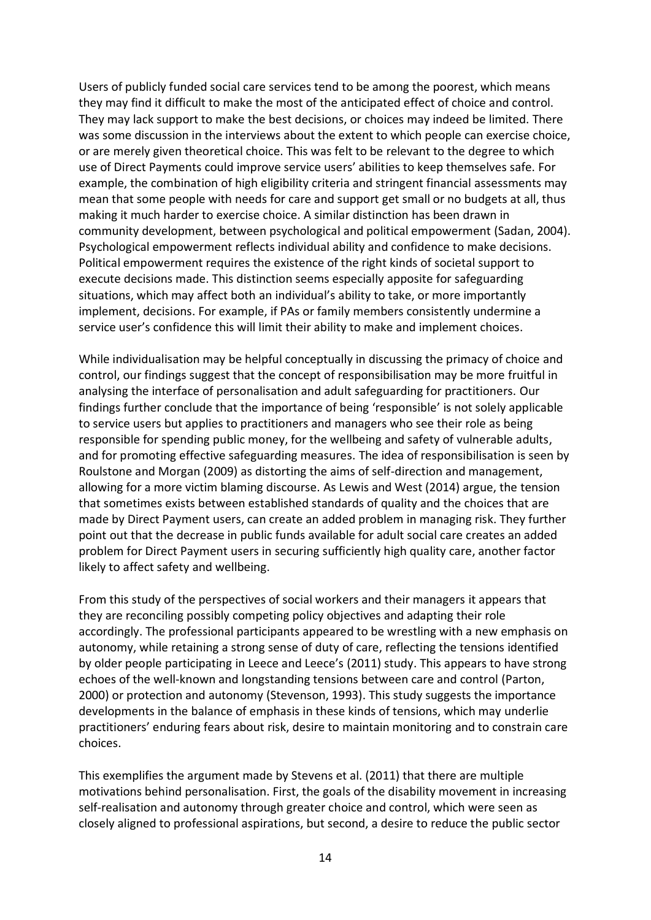Users of publicly funded social care services tend to be among the poorest, which means they may find it difficult to make the most of the anticipated effect of choice and control. They may lack support to make the best decisions, or choices may indeed be limited. There was some discussion in the interviews about the extent to which people can exercise choice, or are merely given theoretical choice. This was felt to be relevant to the degree to which use of Direct Payments could improve service users' abilities to keep themselves safe. For example, the combination of high eligibility criteria and stringent financial assessments may mean that some people with needs for care and support get small or no budgets at all, thus making it much harder to exercise choice. A similar distinction has been drawn in community development, between psychological and political empowerment (Sadan, 2004). Psychological empowerment reflects individual ability and confidence to make decisions. Political empowerment requires the existence of the right kinds of societal support to execute decisions made. This distinction seems especially apposite for safeguarding situations, which may affect both an individual's ability to take, or more importantly implement, decisions. For example, if PAs or family members consistently undermine a service user's confidence this will limit their ability to make and implement choices.

While individualisation may be helpful conceptually in discussing the primacy of choice and control, our findings suggest that the concept of responsibilisation may be more fruitful in analysing the interface of personalisation and adult safeguarding for practitioners. Our findings further conclude that the importance of being 'responsible' is not solely applicable to service users but applies to practitioners and managers who see their role as being responsible for spending public money, for the wellbeing and safety of vulnerable adults, and for promoting effective safeguarding measures. The idea of responsibilisation is seen by Roulstone and Morgan (2009) as distorting the aims of self-direction and management, allowing for a more victim blaming discourse. As Lewis and West (2014) argue, the tension that sometimes exists between established standards of quality and the choices that are made by Direct Payment users, can create an added problem in managing risk. They further point out that the decrease in public funds available for adult social care creates an added problem for Direct Payment users in securing sufficiently high quality care, another factor likely to affect safety and wellbeing.

From this study of the perspectives of social workers and their managers it appears that they are reconciling possibly competing policy objectives and adapting their role accordingly. The professional participants appeared to be wrestling with a new emphasis on autonomy, while retaining a strong sense of duty of care, reflecting the tensions identified by older people participating in Leece and Leece's (2011) study. This appears to have strong echoes of the well-known and longstanding tensions between care and control (Parton, 2000) or protection and autonomy (Stevenson, 1993). This study suggests the importance developments in the balance of emphasis in these kinds of tensions, which may underlie practitioners' enduring fears about risk, desire to maintain monitoring and to constrain care choices.

This exemplifies the argument made by Stevens et al. (2011) that there are multiple motivations behind personalisation. First, the goals of the disability movement in increasing self-realisation and autonomy through greater choice and control, which were seen as closely aligned to professional aspirations, but second, a desire to reduce the public sector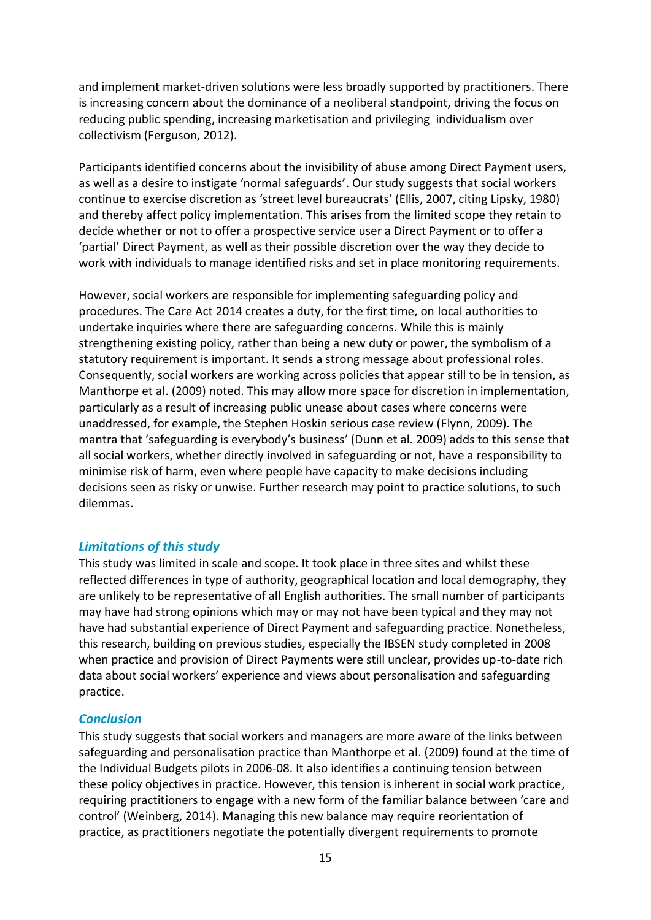and implement market-driven solutions were less broadly supported by practitioners. There is increasing concern about the dominance of a neoliberal standpoint, driving the focus on reducing public spending, increasing marketisation and privileging individualism over collectivism (Ferguson, 2012).

Participants identified concerns about the invisibility of abuse among Direct Payment users, as well as a desire to instigate 'normal safeguards'. Our study suggests that social workers continue to exercise discretion as 'street level bureaucrats' (Ellis, 2007, citing Lipsky, 1980) and thereby affect policy implementation. This arises from the limited scope they retain to decide whether or not to offer a prospective service user a Direct Payment or to offer a 'partial' Direct Payment, as well as their possible discretion over the way they decide to work with individuals to manage identified risks and set in place monitoring requirements.

However, social workers are responsible for implementing safeguarding policy and procedures. The Care Act 2014 creates a duty, for the first time, on local authorities to undertake inquiries where there are safeguarding concerns. While this is mainly strengthening existing policy, rather than being a new duty or power, the symbolism of a statutory requirement is important. It sends a strong message about professional roles. Consequently, social workers are working across policies that appear still to be in tension, as Manthorpe et al. (2009) noted. This may allow more space for discretion in implementation, particularly as a result of increasing public unease about cases where concerns were unaddressed, for example, the Stephen Hoskin serious case review (Flynn, 2009). The mantra that 'safeguarding is everybody's business' (Dunn et al. 2009) adds to this sense that all social workers, whether directly involved in safeguarding or not, have a responsibility to minimise risk of harm, even where people have capacity to make decisions including decisions seen as risky or unwise. Further research may point to practice solutions, to such dilemmas.

#### *Limitations of this study*

This study was limited in scale and scope. It took place in three sites and whilst these reflected differences in type of authority, geographical location and local demography, they are unlikely to be representative of all English authorities. The small number of participants may have had strong opinions which may or may not have been typical and they may not have had substantial experience of Direct Payment and safeguarding practice. Nonetheless, this research, building on previous studies, especially the IBSEN study completed in 2008 when practice and provision of Direct Payments were still unclear, provides up-to-date rich data about social workers' experience and views about personalisation and safeguarding practice.

#### *Conclusion*

This study suggests that social workers and managers are more aware of the links between safeguarding and personalisation practice than Manthorpe et al. (2009) found at the time of the Individual Budgets pilots in 2006-08. It also identifies a continuing tension between these policy objectives in practice. However, this tension is inherent in social work practice, requiring practitioners to engage with a new form of the familiar balance between 'care and control' (Weinberg, 2014). Managing this new balance may require reorientation of practice, as practitioners negotiate the potentially divergent requirements to promote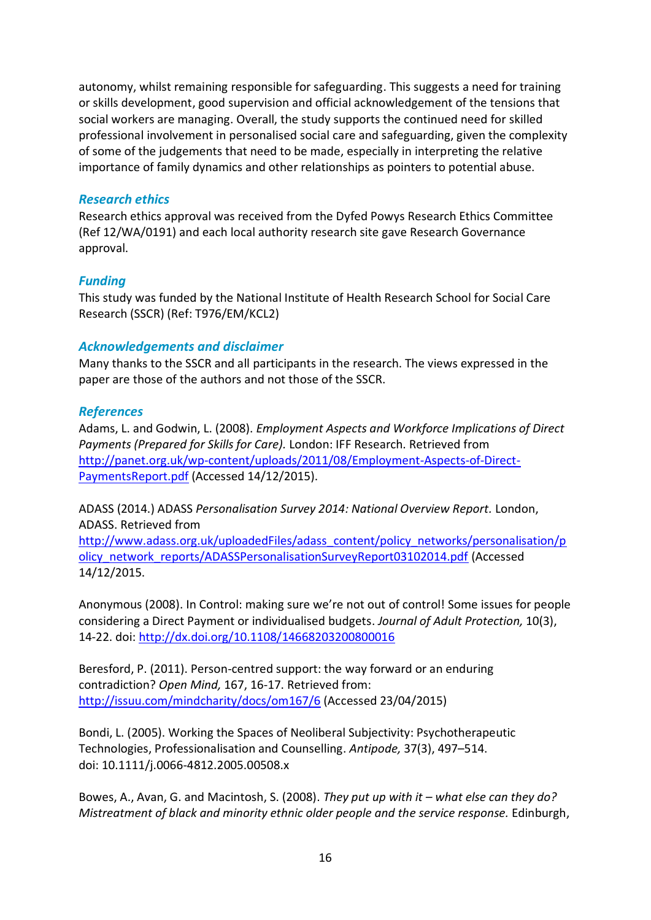autonomy, whilst remaining responsible for safeguarding. This suggests a need for training or skills development, good supervision and official acknowledgement of the tensions that social workers are managing. Overall, the study supports the continued need for skilled professional involvement in personalised social care and safeguarding, given the complexity of some of the judgements that need to be made, especially in interpreting the relative importance of family dynamics and other relationships as pointers to potential abuse.

#### *Research ethics*

Research ethics approval was received from the Dyfed Powys Research Ethics Committee (Ref 12/WA/0191) and each local authority research site gave Research Governance approval.

### *Funding*

This study was funded by the National Institute of Health Research School for Social Care Research (SSCR) (Ref: T976/EM/KCL2)

### *Acknowledgements and disclaimer*

Many thanks to the SSCR and all participants in the research. The views expressed in the paper are those of the authors and not those of the SSCR.

### *References*

Adams, L. and Godwin, L. (2008). *Employment Aspects and Workforce Implications of Direct Payments (Prepared for Skills for Care).* London: IFF Research. Retrieved from [http://panet.org.uk/wp-content/uploads/2011/08/Employment-Aspects-of-Direct-](http://panet.org.uk/wp-content/uploads/2011/08/Employment-Aspects-of-Direct-PaymentsReport.pdf)[PaymentsReport.pdf](http://panet.org.uk/wp-content/uploads/2011/08/Employment-Aspects-of-Direct-PaymentsReport.pdf) (Accessed 14/12/2015).

ADASS (2014.) ADASS *Personalisation Survey 2014: National Overview Report.* London, ADASS. Retrieved from

[http://www.adass.org.uk/uploadedFiles/adass\\_content/policy\\_networks/personalisation/p](http://www.adass.org.uk/uploadedFiles/adass_content/policy_networks/personalisation/policy_network_reports/ADASSPersonalisationSurveyReport03102014.pdf) [olicy\\_network\\_reports/ADASSPersonalisationSurveyReport03102014.pdf](http://www.adass.org.uk/uploadedFiles/adass_content/policy_networks/personalisation/policy_network_reports/ADASSPersonalisationSurveyReport03102014.pdf) (Accessed 14/12/2015.

Anonymous (2008). In Control: making sure we're not out of control! Some issues for people considering a Direct Payment or individualised budgets. *Journal of Adult Protection,* 10(3), 14-22. doi:<http://dx.doi.org/10.1108/14668203200800016>

Beresford, P. (2011). Person-centred support: the way forward or an enduring contradiction? *Open Mind,* 167, 16-17. Retrieved from: <http://issuu.com/mindcharity/docs/om167/6> (Accessed 23/04/2015)

Bondi, L. (2005). Working the Spaces of Neoliberal Subjectivity: Psychotherapeutic Technologies, Professionalisation and Counselling. *Antipode,* 37(3), 497–514. doi: 10.1111/j.0066-4812.2005.00508.x

Bowes, A., Avan, G. and Macintosh, S. (2008). *They put up with it – what else can they do? Mistreatment of black and minority ethnic older people and the service response.* Edinburgh,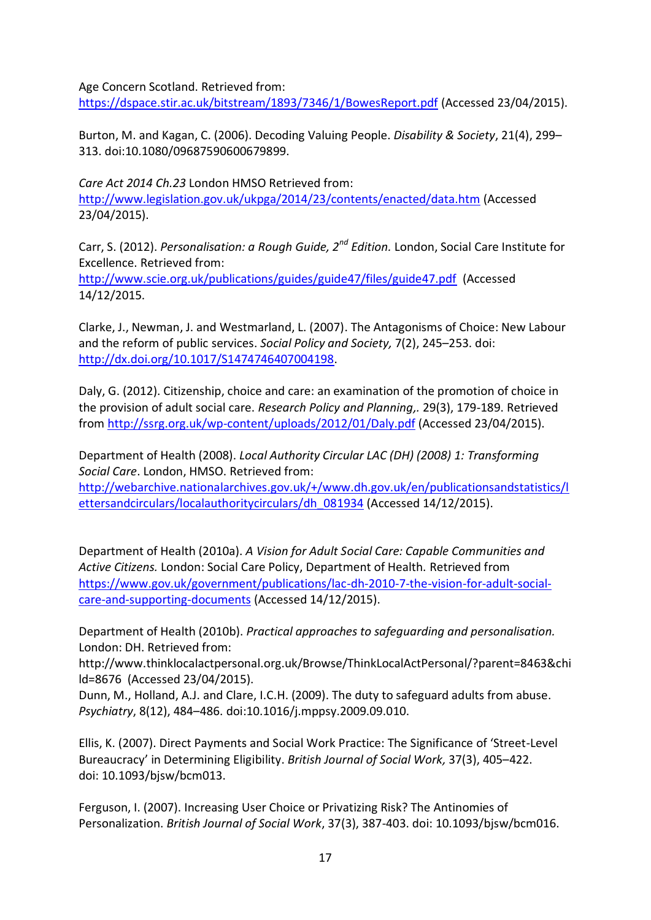Age Concern Scotland. Retrieved from:

<https://dspace.stir.ac.uk/bitstream/1893/7346/1/BowesReport.pdf> (Accessed 23/04/2015).

Burton, M. and Kagan, C. (2006). Decoding Valuing People. *Disability & Society*, 21(4), 299– 313. doi:10.1080/09687590600679899.

*Care Act 2014 Ch.23* London HMSO Retrieved from: <http://www.legislation.gov.uk/ukpga/2014/23/contents/enacted/data.htm> (Accessed 23/04/2015).

Carr, S. (2012). *Personalisation: a Rough Guide, 2nd Edition.* London, Social Care Institute for Excellence. Retrieved from:

<http://www.scie.org.uk/publications/guides/guide47/files/guide47.pdf> (Accessed 14/12/2015.

Clarke, J., Newman, J. and Westmarland, L. (2007). The Antagonisms of Choice: New Labour and the reform of public services. *Social Policy and Society,* 7(2), 245–253. doi: [http://dx.doi.org/10.1017/S1474746407004198.](http://dx.doi.org/10.1017/S1474746407004198)

Daly, G. (2012). Citizenship, choice and care: an examination of the promotion of choice in the provision of adult social care. *Research Policy and Planning,.* 29(3), 179-189. Retrieved from <http://ssrg.org.uk/wp-content/uploads/2012/01/Daly.pdf> (Accessed 23/04/2015).

Department of Health (2008). *Local Authority Circular LAC (DH) (2008) 1: Transforming Social Care*. London, HMSO. Retrieved from:

[http://webarchive.nationalarchives.gov.uk/+/www.dh.gov.uk/en/publicationsandstatistics/l](http://webarchive.nationalarchives.gov.uk/+/www.dh.gov.uk/en/publicationsandstatistics/lettersandcirculars/localauthoritycirculars/dh_081934) [ettersandcirculars/localauthoritycirculars/dh\\_081934](http://webarchive.nationalarchives.gov.uk/+/www.dh.gov.uk/en/publicationsandstatistics/lettersandcirculars/localauthoritycirculars/dh_081934) (Accessed 14/12/2015).

Department of Health (2010a). *A Vision for Adult Social Care: Capable Communities and Active Citizens.* London: Social Care Policy, Department of Health. Retrieved from [https://www.gov.uk/government/publications/lac-dh-2010-7-the-vision-for-adult-social](https://www.gov.uk/government/publications/lac-dh-2010-7-the-vision-for-adult-social-care-and-supporting-documents)[care-and-supporting-documents](https://www.gov.uk/government/publications/lac-dh-2010-7-the-vision-for-adult-social-care-and-supporting-documents) (Accessed 14/12/2015).

Department of Health (2010b). *Practical approaches to safeguarding and personalisation.* London: DH. Retrieved from:

http://www.thinklocalactpersonal.org.uk/Browse/ThinkLocalActPersonal/?parent=8463&chi ld=8676 (Accessed 23/04/2015).

Dunn, M., Holland, A.J. and Clare, I.C.H. (2009). The duty to safeguard adults from abuse. *Psychiatry*, 8(12), 484–486. doi:10.1016/j.mppsy.2009.09.010.

Ellis, K. (2007). Direct Payments and Social Work Practice: The Significance of 'Street-Level Bureaucracy' in Determining Eligibility. *British Journal of Social Work,* 37(3), 405–422. doi: 10.1093/bjsw/bcm013.

Ferguson, I. (2007). Increasing User Choice or Privatizing Risk? The Antinomies of Personalization. *British Journal of Social Work*, 37(3), 387-403. doi: 10.1093/bjsw/bcm016.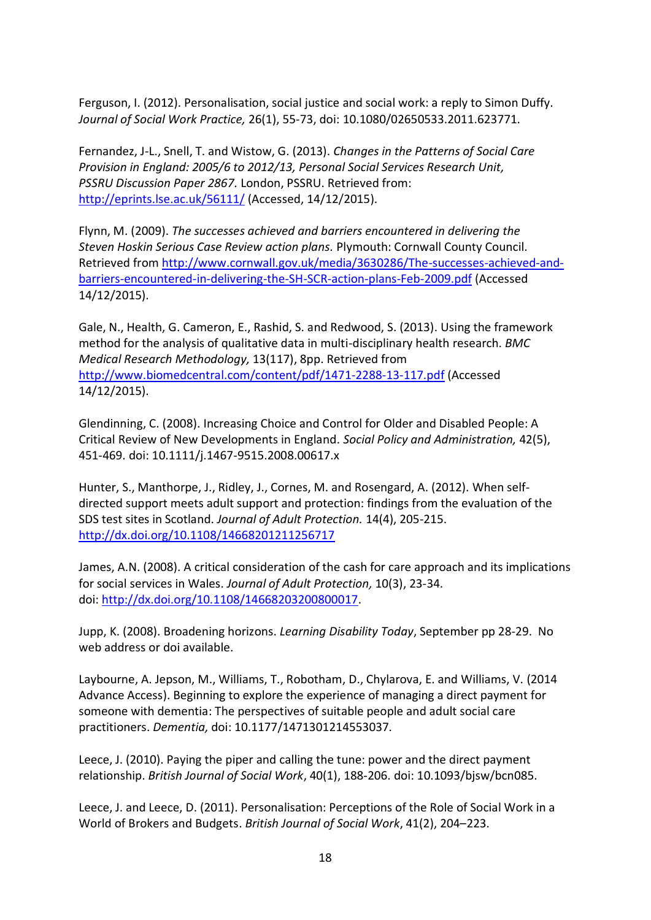Ferguson, I. (2012). Personalisation, social justice and social work: a reply to Simon Duffy. *Journal of Social Work Practice,* 26(1), 55-73, doi: 10.1080/02650533.2011.623771.

Fernandez, J-L., Snell, T. and Wistow, G. (2013). *Changes in the Patterns of Social Care Provision in England: 2005/6 to 2012/13, Personal Social Services Research Unit, PSSRU Discussion Paper 2867.* London, PSSRU. Retrieved from: <http://eprints.lse.ac.uk/56111/> (Accessed, 14/12/2015).

Flynn, M. (2009). *The successes achieved and barriers encountered in delivering the Steven Hoskin Serious Case Review action plans.* Plymouth: Cornwall County Council. Retrieved from [http://www.cornwall.gov.uk/media/3630286/The-successes-achieved-and](http://www.cornwall.gov.uk/media/3630286/The-successes-achieved-and-barriers-encountered-in-delivering-the-SH-SCR-action-plans-Feb-2009.pdf)[barriers-encountered-in-delivering-the-SH-SCR-action-plans-Feb-2009.pdf](http://www.cornwall.gov.uk/media/3630286/The-successes-achieved-and-barriers-encountered-in-delivering-the-SH-SCR-action-plans-Feb-2009.pdf) (Accessed 14/12/2015).

Gale, N., Health, G. Cameron, E., Rashid, S. and Redwood, S. (2013). Using the framework method for the analysis of qualitative data in multi-disciplinary health research. *BMC Medical Research Methodology,* 13(117), 8pp. Retrieved from <http://www.biomedcentral.com/content/pdf/1471-2288-13-117.pdf> (Accessed 14/12/2015).

Glendinning, C. (2008). Increasing Choice and Control for Older and Disabled People: A Critical Review of New Developments in England. *Social Policy and Administration,* 42(5), 451-469. doi: 10.1111/j.1467-9515.2008.00617.x

Hunter, S., Manthorpe, J., Ridley, J., Cornes, M. and Rosengard, A. (2012). When self‐ directed support meets adult support and protection: findings from the evaluation of the SDS test sites in Scotland. *Journal of Adult Protection.* 14(4), 205-215. <http://dx.doi.org/10.1108/14668201211256717>

James, A.N. (2008). A critical consideration of the cash for care approach and its implications for social services in Wales. *Journal of Adult Protection,* 10(3), 23-34. doi: [http://dx.doi.org/10.1108/14668203200800017.](http://dx.doi.org/10.1108/14668203200800017)

Jupp, K. (2008). Broadening horizons. *Learning Disability Today*, September pp 28-29. No web address or doi available.

Laybourne, A. Jepson, M., Williams, T., Robotham, D., Chylarova, E. and Williams, V. (2014 Advance Access). Beginning to explore the experience of managing a direct payment for someone with dementia: The perspectives of suitable people and adult social care practitioners. *Dementia,* doi: 10.1177/1471301214553037.

Leece, J. (2010). Paying the piper and calling the tune: power and the direct payment relationship. *British Journal of Social Work*, 40(1), 188-206. doi: 10.1093/bjsw/bcn085.

Leece, J. and Leece, D. (2011). Personalisation: Perceptions of the Role of Social Work in a World of Brokers and Budgets. *British Journal of Social Work*, 41(2), 204–223.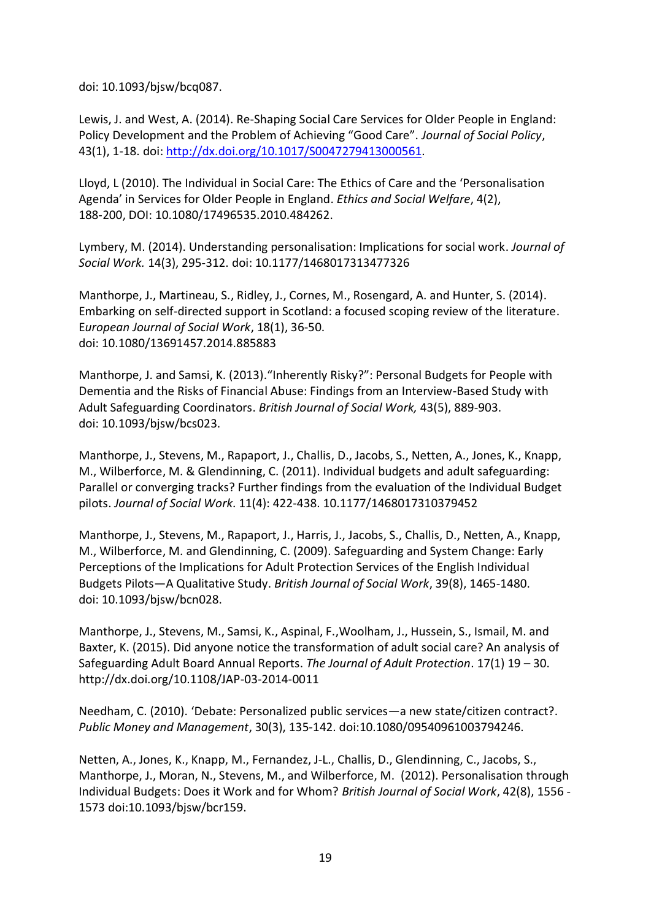doi: 10.1093/bjsw/bcq087.

Lewis, J. and West, A. (2014). Re-Shaping Social Care Services for Older People in England: Policy Development and the Problem of Achieving "Good Care". *Journal of Social Policy*, 43(1), 1-18. doi: [http://dx.doi.org/10.1017/S0047279413000561.](http://dx.doi.org/10.1017/S0047279413000561)

Lloyd, L (2010). The Individual in Social Care: The Ethics of Care and the 'Personalisation Agenda' in Services for Older People in England. *Ethics and Social Welfare*, 4(2), 188-200, DOI: 10.1080/17496535.2010.484262.

Lymbery, M. (2014). Understanding personalisation: Implications for social work. *Journal of Social Work.* 14(3), 295-312. doi: 10.1177/1468017313477326

Manthorpe, J., Martineau, S., Ridley, J., Cornes, M., Rosengard, A. and Hunter, S. (2014). Embarking on self-directed support in Scotland: a focused scoping review of the literature. E*uropean Journal of Social Work*, 18(1), 36-50. doi: 10.1080/13691457.2014.885883

Manthorpe, J. and Samsi, K. (2013)."Inherently Risky?": Personal Budgets for People with Dementia and the Risks of Financial Abuse: Findings from an Interview-Based Study with Adult Safeguarding Coordinators. *British Journal of Social Work,* 43(5), 889-903. doi: 10.1093/bjsw/bcs023.

Manthorpe, J., Stevens, M., Rapaport, J., Challis, D., Jacobs, S., Netten, A., Jones, K., Knapp, M., Wilberforce, M. & Glendinning, C. (2011). Individual budgets and adult safeguarding: Parallel or converging tracks? Further findings from the evaluation of the Individual Budget pilots. *Journal of Social Work*. 11(4): 422-438. 10.1177/1468017310379452

Manthorpe, J., Stevens, M., Rapaport, J., Harris, J., Jacobs, S., Challis, D., Netten, A., Knapp, M., Wilberforce, M. and Glendinning, C. (2009). Safeguarding and System Change: Early Perceptions of the Implications for Adult Protection Services of the English Individual Budgets Pilots—A Qualitative Study. *British Journal of Social Work*, 39(8), 1465-1480. doi: 10.1093/bjsw/bcn028.

Manthorpe, J., Stevens, M., Samsi, K., Aspinal, F.,Woolham, J., Hussein, S., Ismail, M. and Baxter, K. (2015). Did anyone notice the transformation of adult social care? An analysis of Safeguarding Adult Board Annual Reports. *The Journal of Adult Protection*. 17(1) 19 – 30. http://dx.doi.org/10.1108/JAP-03-2014-0011

Needham, C. (2010). 'Debate: Personalized public services—a new state/citizen contract?. *Public Money and Management*, 30(3), 135-142. doi:10.1080/09540961003794246.

Netten, A., Jones, K., Knapp, M., Fernandez, J-L., Challis, D., Glendinning, C., Jacobs, S., Manthorpe, J., Moran, N., Stevens, M., and Wilberforce, M. (2012). Personalisation through Individual Budgets: Does it Work and for Whom? *British Journal of Social Work*, 42(8), 1556 - 1573 doi:10.1093/bjsw/bcr159.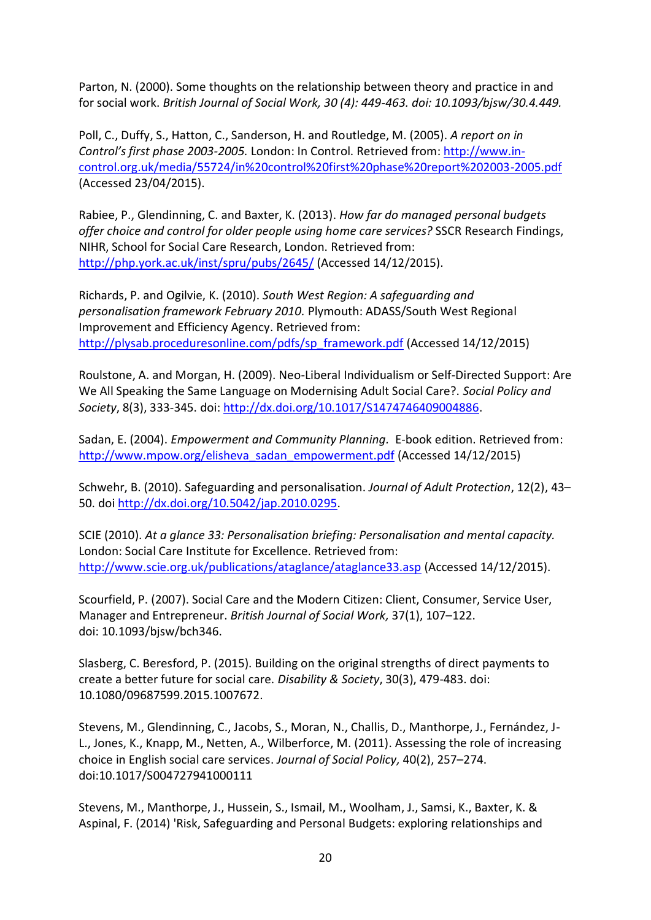Parton, N. (2000). Some thoughts on the relationship between theory and practice in and for social work. *British Journal of Social Work, 30 (4): 449-463. doi: 10.1093/bjsw/30.4.449.*

Poll, C., Duffy, S., Hatton, C., Sanderson, H. and Routledge, M. (2005). *A report on in Control͛s first phase ϮϬϬϯ-2005.* London: In Control. Retrieved from: [http://www.in](http://www.in-control.org.uk/media/55724/in%20control%20first%20phase%20report%202003-2005.pdf)[control.org.uk/media/55724/in%20control%20first%20phase%20report%202003-2005.pdf](http://www.in-control.org.uk/media/55724/in%20control%20first%20phase%20report%202003-2005.pdf) (Accessed 23/04/2015).

Rabiee, P., Glendinning, C. and Baxter, K. (2013). *How far do managed personal budgets offer choice and control for older people using home care services?* SSCR Research Findings, NIHR, School for Social Care Research, London. Retrieved from: <http://php.york.ac.uk/inst/spru/pubs/2645/> (Accessed 14/12/2015).

Richards, P. and Ogilvie, K. (2010). *South West Region: A safeguarding and personalisation framework February 2010.* Plymouth: ADASS/South West Regional Improvement and Efficiency Agency. Retrieved from: [http://plysab.proceduresonline.com/pdfs/sp\\_framework.pdf](http://plysab.proceduresonline.com/pdfs/sp_framework.pdf) (Accessed 14/12/2015)

Roulstone, A. and Morgan, H. (2009). Neo-Liberal Individualism or Self-Directed Support: Are We All Speaking the Same Language on Modernising Adult Social Care?. *Social Policy and Society*, 8(3), 333-345. doi: [http://dx.doi.org/10.1017/S1474746409004886.](http://dx.doi.org/10.1017/S1474746409004886)

Sadan, E. (2004). *Empowerment and Community Planning.* E-book edition. Retrieved from: [http://www.mpow.org/elisheva\\_sadan\\_empowerment.pdf](http://www.mpow.org/elisheva_sadan_empowerment.pdf) (Accessed 14/12/2015)

Schwehr, B. (2010). Safeguarding and personalisation. *Journal of Adult Protection*, 12(2), 43– 50. doi [http://dx.doi.org/10.5042/jap.2010.0295.](http://dx.doi.org/10.5042/jap.2010.0295)

SCIE (2010). *At a glance 33: Personalisation briefing: Personalisation and mental capacity.*  London: Social Care Institute for Excellence. Retrieved from: <http://www.scie.org.uk/publications/ataglance/ataglance33.asp> (Accessed 14/12/2015).

Scourfield, P. (2007). Social Care and the Modern Citizen: Client, Consumer, Service User, Manager and Entrepreneur. *British Journal of Social Work,* 37(1), 107–122. doi: 10.1093/bjsw/bch346.

Slasberg, C. Beresford, P. (2015). Building on the original strengths of direct payments to create a better future for social care. *Disability & Society*, 30(3), 479-483. doi: 10.1080/09687599.2015.1007672.

Stevens, M., Glendinning, C., Jacobs, S., Moran, N., Challis, D., Manthorpe, J., Fernández, J-L., Jones, K., Knapp, M., Netten, A., Wilberforce, M. (2011). Assessing the role of increasing choice in English social care services. *Journal of Social Policy,* 40(2), 257–274. doi:10.1017/S004727941000111

Stevens, M., Manthorpe, J., Hussein, S., Ismail, M., Woolham, J., Samsi, K., Baxter, K. & Aspinal, F. (2014) 'Risk, Safeguarding and Personal Budgets: exploring relationships and